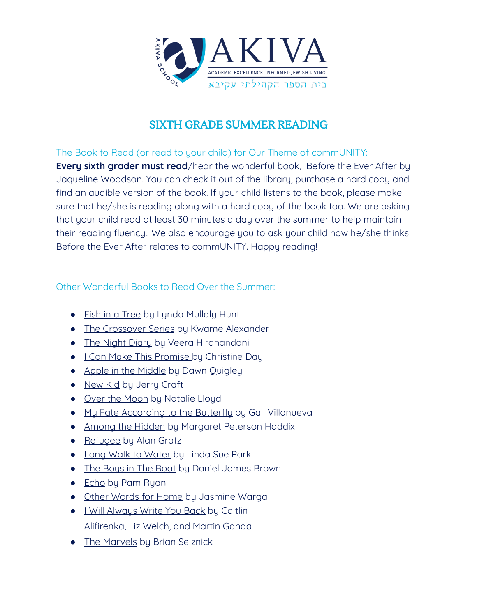

# SIXTH GRADE SUMMER READING

The Book to Read (or read to your child) for Our Theme of commUNITY: **Every sixth grader must read**/hear the wonderful book, Before the Ever After by Jaqueline Woodson. You can check it out of the library, purchase a hard copy and find an audible version of the book. If your child listens to the book, please make sure that he/she is reading along with a hard copy of the book too. We are asking that your child read at least 30 minutes a day over the summer to help maintain their reading fluency.. We also encourage you to ask your child how he/she thinks Before the Ever After relates to commUNITY. Happy reading!

### Other Wonderful Books to Read Over the Summer:

- Fish in a Tree by Lynda Mullaly Hunt
- The Crossover Series by Kwame Alexander
- The Night Diary by Veera Hiranandani
- I Can Make This Promise by Christine Day
- Apple in the Middle by Dawn Quigley
- New Kid by Jerry Craft
- Over the Moon by Natalie Lloyd
- My Fate According to the Butterfly by Gail Villanueva
- Among the Hidden by Margaret Peterson Haddix
- Refugee by Alan Gratz
- Long Walk to Water by Linda Sue Park
- The Bous in The Boat by Daniel James Brown
- Echo by Pam Ryan
- Other Words for Home by Jasmine Warga
- I Will Always Write You Back by Caitlin Alifirenka, Liz Welch, and Martin Ganda
- The Marvels by Brian Selznick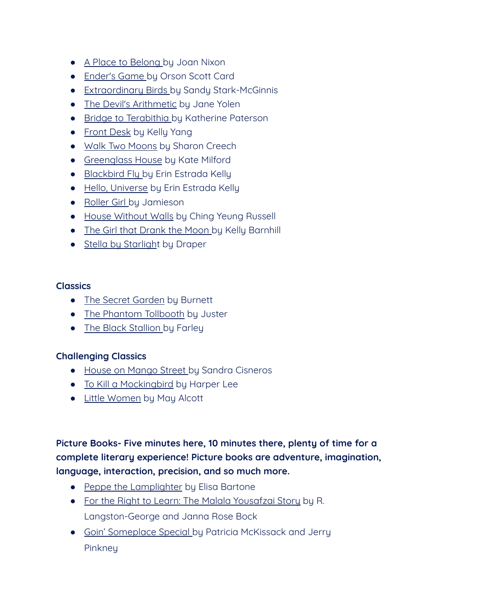- A Place to Belong by Joan Nixon
- Ender's Game by Orson Scott Card
- Extraordinary Birds by Sandy Stark-McGinnis
- The Devil's Arithmetic by Jane Yolen
- Bridge to Terabithia by Katherine Paterson
- Front Desk by Kelly Yang
- Walk Two Moons by Sharon Creech
- Greenglass House by Kate Milford
- Blackbird Fly by Erin Estrada Kelly
- Hello, Universe by Erin Estrada Kelly
- Roller Girl by Jamieson
- House Without Walls by Ching Yeung Russell
- The Girl that Drank the Moon by Kelly Barnhill
- Stella by Starlight by Draper

### **Classics**

- The Secret Garden by Burnett
- The Phantom Tollbooth by Juster
- The Black Stallion by Farley

### **Challenging Classics**

- House on Mango Street by Sandra Cisneros
- To Kill a Mockingbird by Harper Lee
- Little Women by May Alcott

# **Picture Books- Five minutes here, 10 minutes there, plenty of time for a complete literary experience! Picture books are adventure, imagination, language, interaction, precision, and so much more.**

- Peppe the Lamplighter by Elisa Bartone
- For the Right to Learn: The Malala Yousafzai Story by R. Langston-George and Janna Rose Bock
- Goin' Someplace Special by Patricia McKissack and Jerry **Pinkneu**